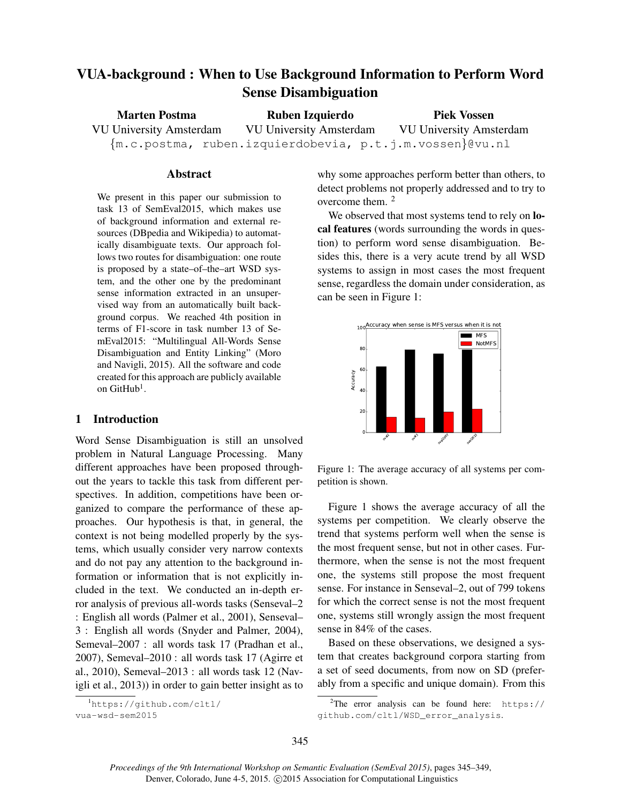# VUA-background : When to Use Background Information to Perform Word Sense Disambiguation

| <b>Marten Postma</b>           | Ruben Izquierdo                                             | <b>Piek Vossen</b>             |
|--------------------------------|-------------------------------------------------------------|--------------------------------|
| <b>VU University Amsterdam</b> | VU University Amsterdam                                     | <b>VU University Amsterdam</b> |
|                                | ${m.c.postma, ruben.izquierdobevia, p.t.j.m.vossen}$ @vu.nl |                                |

#### Abstract

We present in this paper our submission to task 13 of SemEval2015, which makes use of background information and external resources (DBpedia and Wikipedia) to automatically disambiguate texts. Our approach follows two routes for disambiguation: one route is proposed by a state–of–the–art WSD system, and the other one by the predominant sense information extracted in an unsupervised way from an automatically built background corpus. We reached 4th position in terms of F1-score in task number 13 of SemEval2015: "Multilingual All-Words Sense Disambiguation and Entity Linking" (Moro and Navigli, 2015). All the software and code created for this approach are publicly available on  $G$ it ${\rm Hub}^1$ .

## 1 Introduction

Word Sense Disambiguation is still an unsolved problem in Natural Language Processing. Many different approaches have been proposed throughout the years to tackle this task from different perspectives. In addition, competitions have been organized to compare the performance of these approaches. Our hypothesis is that, in general, the context is not being modelled properly by the systems, which usually consider very narrow contexts and do not pay any attention to the background information or information that is not explicitly included in the text. We conducted an in-depth error analysis of previous all-words tasks (Senseval–2 : English all words (Palmer et al., 2001), Senseval– 3 : English all words (Snyder and Palmer, 2004), Semeval–2007 : all words task 17 (Pradhan et al., 2007), Semeval–2010 : all words task 17 (Agirre et al., 2010), Semeval–2013 : all words task 12 (Navigli et al., 2013)) in order to gain better insight as to

why some approaches perform better than others, to detect problems not properly addressed and to try to overcome them. <sup>2</sup>

We observed that most systems tend to rely on **lo**cal features (words surrounding the words in question) to perform word sense disambiguation. Besides this, there is a very acute trend by all WSD systems to assign in most cases the most frequent sense, regardless the domain under consideration, as can be seen in Figure 1:



Figure 1: The average accuracy of all systems per competition is shown.

Figure 1 shows the average accuracy of all the systems per competition. We clearly observe the trend that systems perform well when the sense is the most frequent sense, but not in other cases. Furthermore, when the sense is not the most frequent one, the systems still propose the most frequent sense. For instance in Senseval–2, out of 799 tokens for which the correct sense is not the most frequent one, systems still wrongly assign the most frequent sense in 84% of the cases.

Based on these observations, we designed a system that creates background corpora starting from a set of seed documents, from now on SD (preferably from a specific and unique domain). From this

<sup>1</sup>https://github.com/cltl/ vua-wsd-sem2015

<sup>&</sup>lt;sup>2</sup>The error analysis can be found here:  $https://$ github.com/cltl/WSD\_error\_analysis.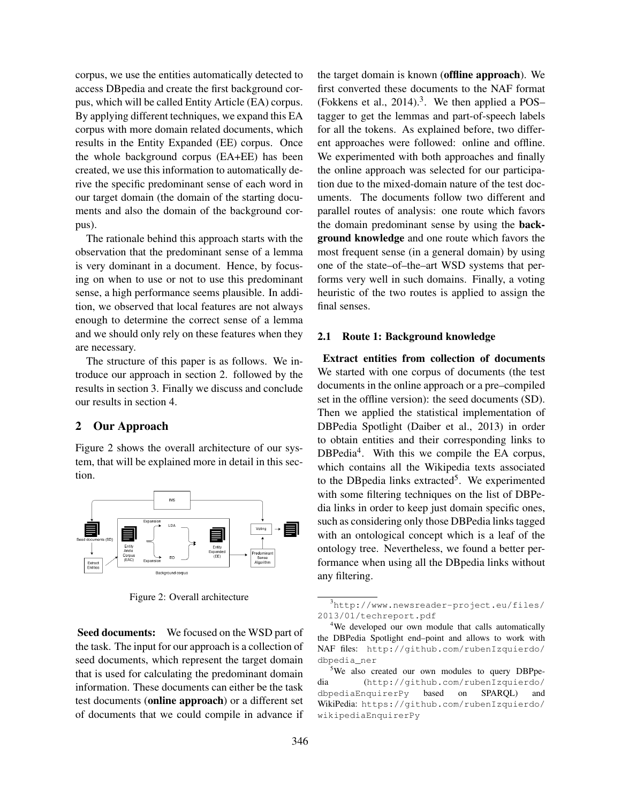corpus, we use the entities automatically detected to access DBpedia and create the first background corpus, which will be called Entity Article (EA) corpus. By applying different techniques, we expand this EA corpus with more domain related documents, which results in the Entity Expanded (EE) corpus. Once the whole background corpus (EA+EE) has been created, we use this information to automatically derive the specific predominant sense of each word in our target domain (the domain of the starting documents and also the domain of the background corpus).

The rationale behind this approach starts with the observation that the predominant sense of a lemma is very dominant in a document. Hence, by focusing on when to use or not to use this predominant sense, a high performance seems plausible. In addition, we observed that local features are not always enough to determine the correct sense of a lemma and we should only rely on these features when they are necessary.

The structure of this paper is as follows. We introduce our approach in section 2. followed by the results in section 3. Finally we discuss and conclude our results in section 4.

# 2 Our Approach

Figure 2 shows the overall architecture of our system, that will be explained more in detail in this section.



Figure 2: Overall architecture

Seed documents: We focused on the WSD part of the task. The input for our approach is a collection of seed documents, which represent the target domain that is used for calculating the predominant domain information. These documents can either be the task test documents (online approach) or a different set of documents that we could compile in advance if the target domain is known (offline approach). We first converted these documents to the NAF format (Fokkens et al.,  $2014$ ).<sup>3</sup>. We then applied a POStagger to get the lemmas and part-of-speech labels for all the tokens. As explained before, two different approaches were followed: online and offline. We experimented with both approaches and finally the online approach was selected for our participation due to the mixed-domain nature of the test documents. The documents follow two different and parallel routes of analysis: one route which favors the domain predominant sense by using the background knowledge and one route which favors the most frequent sense (in a general domain) by using one of the state–of–the–art WSD systems that performs very well in such domains. Finally, a voting heuristic of the two routes is applied to assign the final senses.

#### 2.1 Route 1: Background knowledge

Extract entities from collection of documents We started with one corpus of documents (the test documents in the online approach or a pre–compiled set in the offline version): the seed documents (SD). Then we applied the statistical implementation of DBPedia Spotlight (Daiber et al., 2013) in order to obtain entities and their corresponding links to DBPedia<sup>4</sup>. With this we compile the EA corpus, which contains all the Wikipedia texts associated to the DBpedia links extracted<sup>5</sup>. We experimented with some filtering techniques on the list of DBPedia links in order to keep just domain specific ones, such as considering only those DBPedia links tagged with an ontological concept which is a leaf of the ontology tree. Nevertheless, we found a better performance when using all the DBpedia links without any filtering.

<sup>3</sup>http://www.newsreader-project.eu/files/ 2013/01/techreport.pdf

<sup>&</sup>lt;sup>4</sup>We developed our own module that calls automatically the DBPedia Spotlight end–point and allows to work with NAF files: http://github.com/rubenIzquierdo/ dbpedia\_ner

<sup>&</sup>lt;sup>5</sup>We also created our own modules to query DBPpedia (http://github.com/rubenIzquierdo/ dbpediaEnquirerPy based on SPARQL) and WikiPedia: https://github.com/rubenIzquierdo/ wikipediaEnquirerPy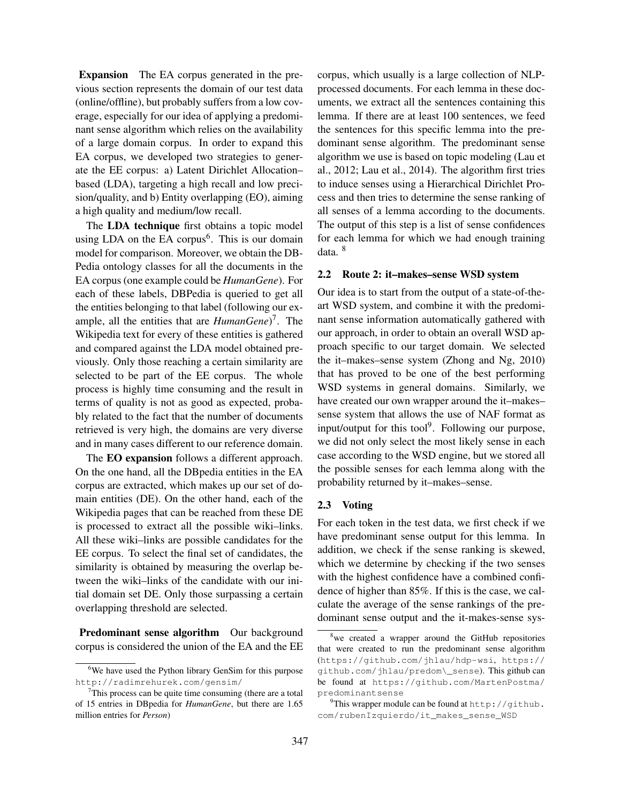Expansion The EA corpus generated in the previous section represents the domain of our test data (online/offline), but probably suffers from a low coverage, especially for our idea of applying a predominant sense algorithm which relies on the availability of a large domain corpus. In order to expand this EA corpus, we developed two strategies to generate the EE corpus: a) Latent Dirichlet Allocation– based (LDA), targeting a high recall and low precision/quality, and b) Entity overlapping (EO), aiming a high quality and medium/low recall.

The LDA technique first obtains a topic model using LDA on the EA corpus<sup>6</sup>. This is our domain model for comparison. Moreover, we obtain the DB-Pedia ontology classes for all the documents in the EA corpus (one example could be *HumanGene*). For each of these labels, DBPedia is queried to get all the entities belonging to that label (following our example, all the entities that are *HumanGene*)<sup>7</sup>. The Wikipedia text for every of these entities is gathered and compared against the LDA model obtained previously. Only those reaching a certain similarity are selected to be part of the EE corpus. The whole process is highly time consuming and the result in terms of quality is not as good as expected, probably related to the fact that the number of documents retrieved is very high, the domains are very diverse and in many cases different to our reference domain.

The **EO** expansion follows a different approach. On the one hand, all the DBpedia entities in the EA corpus are extracted, which makes up our set of domain entities (DE). On the other hand, each of the Wikipedia pages that can be reached from these DE is processed to extract all the possible wiki–links. All these wiki–links are possible candidates for the EE corpus. To select the final set of candidates, the similarity is obtained by measuring the overlap between the wiki–links of the candidate with our initial domain set DE. Only those surpassing a certain overlapping threshold are selected.

Predominant sense algorithm Our background corpus is considered the union of the EA and the EE corpus, which usually is a large collection of NLPprocessed documents. For each lemma in these documents, we extract all the sentences containing this lemma. If there are at least 100 sentences, we feed the sentences for this specific lemma into the predominant sense algorithm. The predominant sense algorithm we use is based on topic modeling (Lau et al., 2012; Lau et al., 2014). The algorithm first tries to induce senses using a Hierarchical Dirichlet Process and then tries to determine the sense ranking of all senses of a lemma according to the documents. The output of this step is a list of sense confidences for each lemma for which we had enough training data. <sup>8</sup>

#### 2.2 Route 2: it–makes–sense WSD system

Our idea is to start from the output of a state-of-theart WSD system, and combine it with the predominant sense information automatically gathered with our approach, in order to obtain an overall WSD approach specific to our target domain. We selected the it–makes–sense system (Zhong and Ng, 2010) that has proved to be one of the best performing WSD systems in general domains. Similarly, we have created our own wrapper around the it–makes– sense system that allows the use of NAF format as input/output for this tool<sup>9</sup>. Following our purpose, we did not only select the most likely sense in each case according to the WSD engine, but we stored all the possible senses for each lemma along with the probability returned by it–makes–sense.

#### 2.3 Voting

For each token in the test data, we first check if we have predominant sense output for this lemma. In addition, we check if the sense ranking is skewed, which we determine by checking if the two senses with the highest confidence have a combined confidence of higher than 85%. If this is the case, we calculate the average of the sense rankings of the predominant sense output and the it-makes-sense sys-

<sup>&</sup>lt;sup>6</sup>We have used the Python library GenSim for this purpose http://radimrehurek.com/gensim/

 $7$ This process can be quite time consuming (there are a total of 15 entries in DBpedia for *HumanGene*, but there are 1.65 million entries for *Person*)

 $8$ we created a wrapper around the GitHub repositories that were created to run the predominant sense algorithm (https://github.com/jhlau/hdp-wsi, https:// github.com/jhlau/predom\\_sense). This github can be found at https://github.com/MartenPostma/ predominantsense

<sup>&</sup>lt;sup>9</sup>This wrapper module can be found at  $http://github.$ com/rubenIzquierdo/it\_makes\_sense\_WSD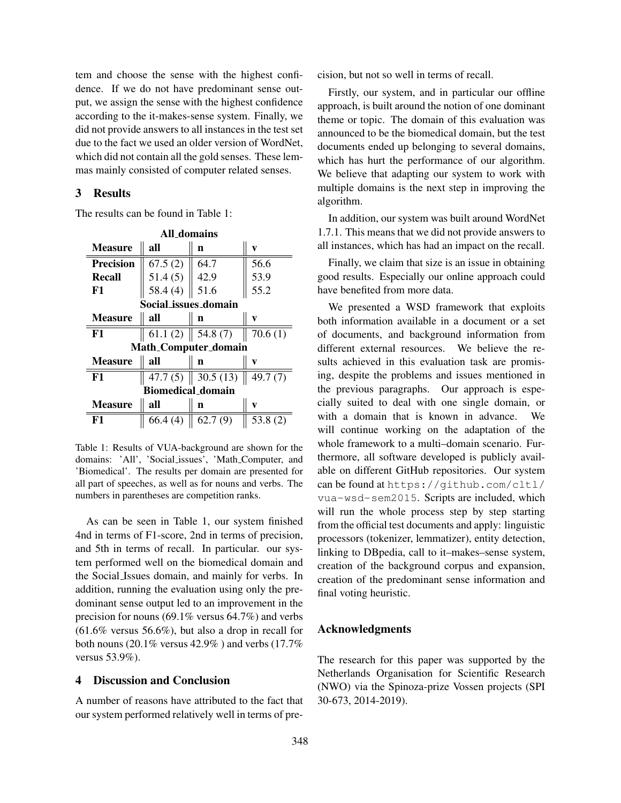tem and choose the sense with the highest confidence. If we do not have predominant sense output, we assign the sense with the highest confidence according to the it-makes-sense system. Finally, we did not provide answers to all instances in the test set due to the fact we used an older version of WordNet, which did not contain all the gold senses. These lemmas mainly consisted of computer related senses.

## 3 Results

The results can be found in Table 1:

| All domains                 |            |                                  |            |  |
|-----------------------------|------------|----------------------------------|------------|--|
| <b>Measure</b>              | all        | n                                | v          |  |
| <b>Precision</b>            | 67.5(2)    | 64.7                             | 56.6       |  |
| <b>Recall</b>               | 51.4(5)    | 42.9                             | 53.9       |  |
| F1                          | 58.4 $(4)$ | 51.6                             | 55.2       |  |
| Social_issues_domain        |            |                                  |            |  |
| <b>Measure</b>              | all        | n                                | v          |  |
| F1                          |            | 61.1 (2) $\parallel$ 54.8 (7)    | 70.6(1)    |  |
| <b>Math_Computer_domain</b> |            |                                  |            |  |
| <b>Measure</b>              | all        | n                                | v          |  |
| F1                          |            | $\overline{47.7(5)}$   30.5 (13) | 49.7 $(7)$ |  |
| <b>Biomedical_domain</b>    |            |                                  |            |  |
| <b>Measure</b>              | all        | n                                | v          |  |
| F1                          | 66.4(4)    | 62.7(9)                          | 53.8(2)    |  |

Table 1: Results of VUA-background are shown for the domains: 'All', 'Social issues', 'Math Computer, and 'Biomedical'. The results per domain are presented for all part of speeches, as well as for nouns and verbs. The numbers in parentheses are competition ranks.

As can be seen in Table 1, our system finished 4nd in terms of F1-score, 2nd in terms of precision, and 5th in terms of recall. In particular. our system performed well on the biomedical domain and the Social Issues domain, and mainly for verbs. In addition, running the evaluation using only the predominant sense output led to an improvement in the precision for nouns (69.1% versus 64.7%) and verbs (61.6% versus 56.6%), but also a drop in recall for both nouns (20.1% versus 42.9% ) and verbs (17.7% versus 53.9%).

# 4 Discussion and Conclusion

A number of reasons have attributed to the fact that our system performed relatively well in terms of precision, but not so well in terms of recall.

Firstly, our system, and in particular our offline approach, is built around the notion of one dominant theme or topic. The domain of this evaluation was announced to be the biomedical domain, but the test documents ended up belonging to several domains, which has hurt the performance of our algorithm. We believe that adapting our system to work with multiple domains is the next step in improving the algorithm.

In addition, our system was built around WordNet 1.7.1. This means that we did not provide answers to all instances, which has had an impact on the recall.

Finally, we claim that size is an issue in obtaining good results. Especially our online approach could have benefited from more data.

We presented a WSD framework that exploits both information available in a document or a set of documents, and background information from different external resources. We believe the results achieved in this evaluation task are promising, despite the problems and issues mentioned in the previous paragraphs. Our approach is especially suited to deal with one single domain, or with a domain that is known in advance. We will continue working on the adaptation of the whole framework to a multi–domain scenario. Furthermore, all software developed is publicly available on different GitHub repositories. Our system can be found at https://github.com/cltl/ vua-wsd-sem2015. Scripts are included, which will run the whole process step by step starting from the official test documents and apply: linguistic processors (tokenizer, lemmatizer), entity detection, linking to DBpedia, call to it–makes–sense system, creation of the background corpus and expansion, creation of the predominant sense information and final voting heuristic.

# Acknowledgments

The research for this paper was supported by the Netherlands Organisation for Scientific Research (NWO) via the Spinoza-prize Vossen projects (SPI 30-673, 2014-2019).